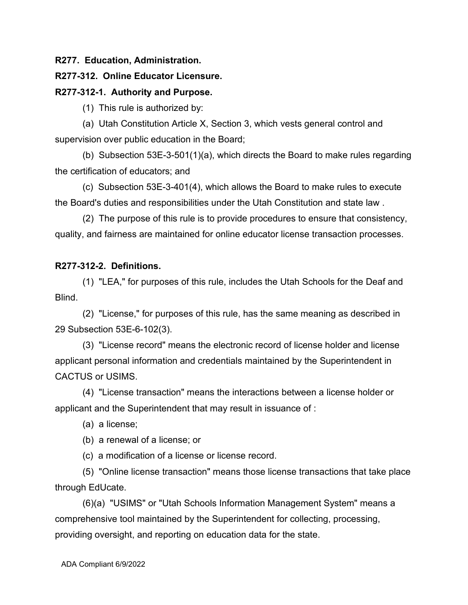**R277. Education, Administration.**

## **R277-312. Online Educator Licensure.**

## **R277-312-1. Authority and Purpose.**

(1) This rule is authorized by:

(a) Utah Constitution Article X, Section 3, which vests general control and supervision over public education in the Board;

(b) Subsection 53E-3-501(1)(a), which directs the Board to make rules regarding the certification of educators; and

(c) Subsection 53E-3-401(4), which allows the Board to make rules to execute the Board's duties and responsibilities under the Utah Constitution and state law .

(2) The purpose of this rule is to provide procedures to ensure that consistency, quality, and fairness are maintained for online educator license transaction processes.

## **R277-312-2. Definitions.**

(1) "LEA," for purposes of this rule, includes the Utah Schools for the Deaf and Blind.

(2) "License," for purposes of this rule, has the same meaning as described in 29 Subsection 53E-6-102(3).

(3) "License record" means the electronic record of license holder and license applicant personal information and credentials maintained by the Superintendent in CACTUS or USIMS.

(4) "License transaction" means the interactions between a license holder or applicant and the Superintendent that may result in issuance of :

(a) a license;

(b) a renewal of a license; or

(c) a modification of a license or license record.

(5) "Online license transaction" means those license transactions that take place through EdUcate.

(6)(a) "USIMS" or "Utah Schools Information Management System" means a comprehensive tool maintained by the Superintendent for collecting, processing, providing oversight, and reporting on education data for the state.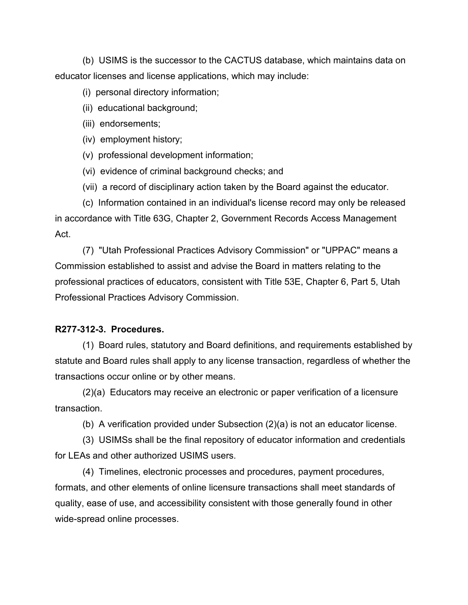(b) USIMS is the successor to the CACTUS database, which maintains data on educator licenses and license applications, which may include:

(i) personal directory information;

- (ii) educational background;
- (iii) endorsements;

(iv) employment history;

(v) professional development information;

- (vi) evidence of criminal background checks; and
- (vii) a record of disciplinary action taken by the Board against the educator.

(c) Information contained in an individual's license record may only be released in accordance with Title 63G, Chapter 2, Government Records Access Management Act.

(7) "Utah Professional Practices Advisory Commission" or "UPPAC" means a Commission established to assist and advise the Board in matters relating to the professional practices of educators, consistent with Title 53E, Chapter 6, Part 5, Utah Professional Practices Advisory Commission.

### **R277-312-3. Procedures.**

(1) Board rules, statutory and Board definitions, and requirements established by statute and Board rules shall apply to any license transaction, regardless of whether the transactions occur online or by other means.

(2)(a) Educators may receive an electronic or paper verification of a licensure transaction.

(b) A verification provided under Subsection (2)(a) is not an educator license.

(3) USIMSs shall be the final repository of educator information and credentials for LEAs and other authorized USIMS users.

(4) Timelines, electronic processes and procedures, payment procedures, formats, and other elements of online licensure transactions shall meet standards of quality, ease of use, and accessibility consistent with those generally found in other wide-spread online processes.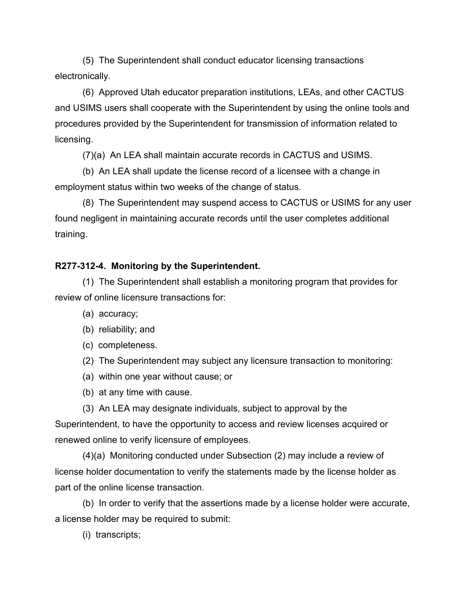(5) The Superintendent shall conduct educator licensing transactions electronically.

(6) Approved Utah educator preparation institutions, LEAs, and other CACTUS and USIMS users shall cooperate with the Superintendent by using the online tools and procedures provided by the Superintendent for transmission of information related to licensing.

(7)(a) An LEA shall maintain accurate records in CACTUS and USIMS.

(b) An LEA shall update the license record of a licensee with a change in employment status within two weeks of the change of status.

(8) The Superintendent may suspend access to CACTUS or USIMS for any user found negligent in maintaining accurate records until the user completes additional training.

## **R277-312-4. Monitoring by the Superintendent.**

(1) The Superintendent shall establish a monitoring program that provides for review of online licensure transactions for:

- (a) accuracy;
- (b) reliability; and
- (c) completeness.
- (2) The Superintendent may subject any licensure transaction to monitoring:
- (a) within one year without cause; or
- (b) at any time with cause.
- (3) An LEA may designate individuals, subject to approval by the

Superintendent, to have the opportunity to access and review licenses acquired or renewed online to verify licensure of employees.

(4)(a) Monitoring conducted under Subsection (2) may include a review of license holder documentation to verify the statements made by the license holder as part of the online license transaction.

(b) In order to verify that the assertions made by a license holder were accurate, a license holder may be required to submit:

(i) transcripts;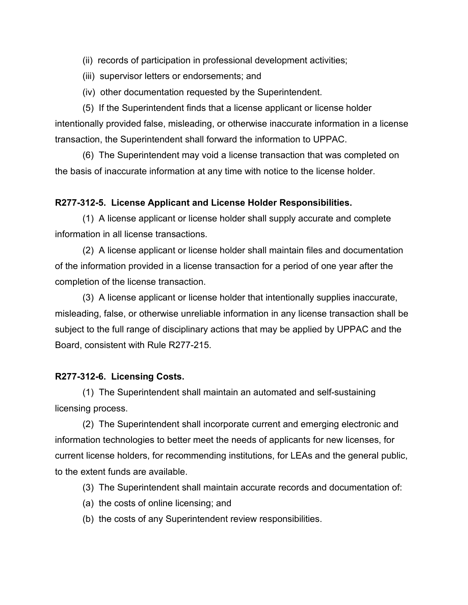(ii) records of participation in professional development activities;

(iii) supervisor letters or endorsements; and

(iv) other documentation requested by the Superintendent.

(5) If the Superintendent finds that a license applicant or license holder intentionally provided false, misleading, or otherwise inaccurate information in a license transaction, the Superintendent shall forward the information to UPPAC.

(6) The Superintendent may void a license transaction that was completed on the basis of inaccurate information at any time with notice to the license holder.

### **R277-312-5. License Applicant and License Holder Responsibilities.**

(1) A license applicant or license holder shall supply accurate and complete information in all license transactions.

(2) A license applicant or license holder shall maintain files and documentation of the information provided in a license transaction for a period of one year after the completion of the license transaction.

(3) A license applicant or license holder that intentionally supplies inaccurate, misleading, false, or otherwise unreliable information in any license transaction shall be subject to the full range of disciplinary actions that may be applied by UPPAC and the Board, consistent with Rule R277-215.

#### **R277-312-6. Licensing Costs.**

(1) The Superintendent shall maintain an automated and self-sustaining licensing process.

(2) The Superintendent shall incorporate current and emerging electronic and information technologies to better meet the needs of applicants for new licenses, for current license holders, for recommending institutions, for LEAs and the general public, to the extent funds are available.

(3) The Superintendent shall maintain accurate records and documentation of:

- (a) the costs of online licensing; and
- (b) the costs of any Superintendent review responsibilities.